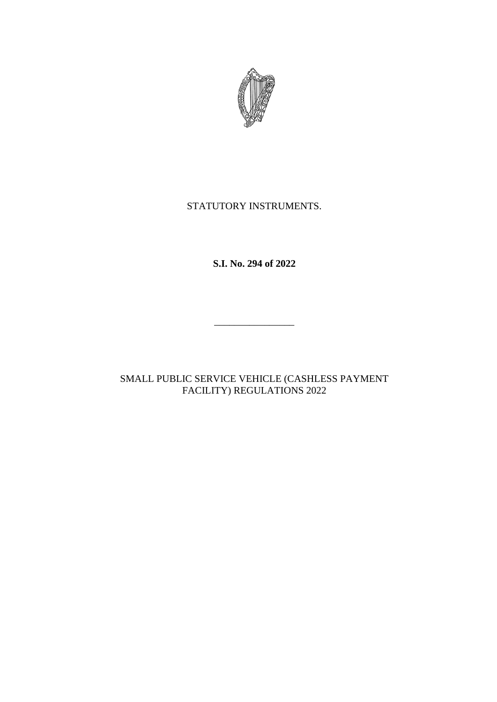

# STATUTORY INSTRUMENTS.

**S.I. No. 294 of 2022**

\_\_\_\_\_\_\_\_\_\_\_\_\_\_\_\_

SMALL PUBLIC SERVICE VEHICLE (CASHLESS PAYMENT FACILITY) REGULATIONS 2022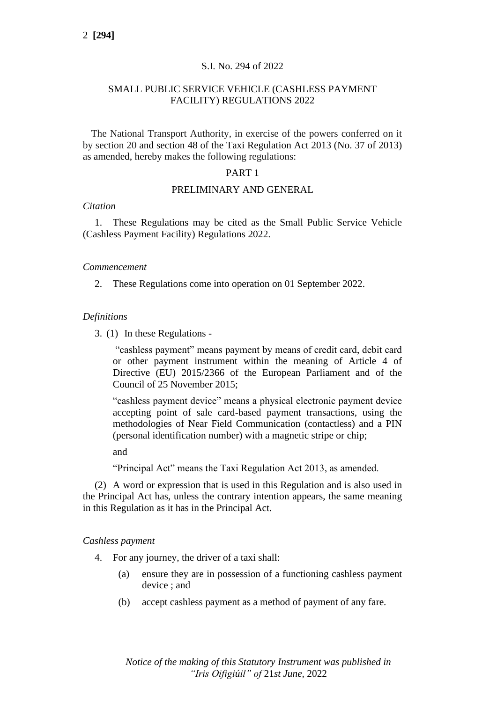### S.I. No. 294 of 2022

## SMALL PUBLIC SERVICE VEHICLE (CASHLESS PAYMENT FACILITY) REGULATIONS 2022

The National Transport Authority, in exercise of the powers conferred on it by section 20 and section 48 of the Taxi Regulation Act 2013 (No. 37 of 2013) as amended, hereby makes the following regulations:

#### PART 1

#### PRELIMINARY AND GENERAL

#### *Citation*

1. These Regulations may be cited as the Small Public Service Vehicle (Cashless Payment Facility) Regulations 2022.

#### *Commencement*

2. These Regulations come into operation on 01 September 2022.

## *Definitions*

3. (1) In these Regulations -

"cashless payment" means payment by means of credit card, debit card or other payment instrument within the meaning of Article 4 of Directive (EU) 2015/2366 of the European Parliament and of the Council of 25 November 2015;

"cashless payment device" means a physical electronic payment device accepting point of sale card-based payment transactions, using the methodologies of Near Field Communication (contactless) and a PIN (personal identification number) with a magnetic stripe or chip;

and

"Principal Act" means the Taxi Regulation Act 2013, as amended.

(2) A word or expression that is used in this Regulation and is also used in the Principal Act has, unless the contrary intention appears, the same meaning in this Regulation as it has in the Principal Act.

#### *Cashless payment*

- 4. For any journey, the driver of a taxi shall:
	- (a) ensure they are in possession of a functioning cashless payment device ; and
	- (b) accept cashless payment as a method of payment of any fare.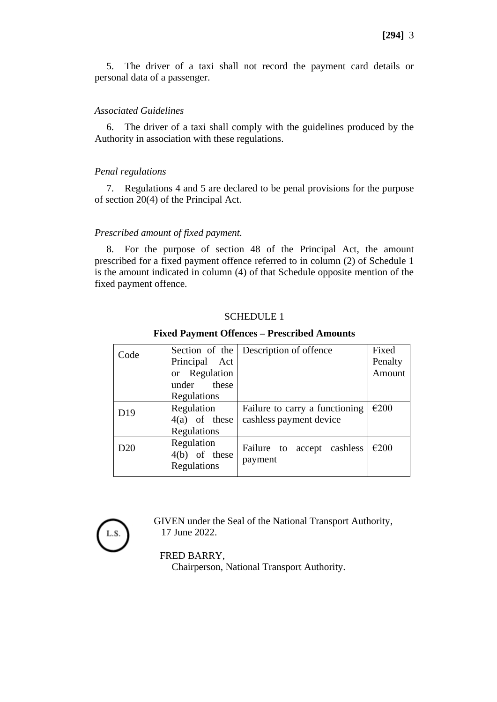5. The driver of a taxi shall not record the payment card details or personal data of a passenger.

### *Associated Guidelines*

6. The driver of a taxi shall comply with the guidelines produced by the Authority in association with these regulations.

## *Penal regulations*

7. Regulations 4 and 5 are declared to be penal provisions for the purpose of section 20(4) of the Principal Act.

### *Prescribed amount of fixed payment.*

8. For the purpose of section 48 of the Principal Act, the amount prescribed for a fixed payment offence referred to in column (2) of Schedule 1 is the amount indicated in column (4) of that Schedule opposite mention of the fixed payment offence.

## SCHEDULE 1

### **Fixed Payment Offences – Prescribed Amounts**

| Code            |                                              | Section of the Description of offence | Fixed   |
|-----------------|----------------------------------------------|---------------------------------------|---------|
|                 | Principal Act                                |                                       | Penalty |
|                 | or Regulation                                |                                       | Amount  |
|                 | under these                                  |                                       |         |
|                 | Regulations                                  |                                       |         |
| D <sub>19</sub> | Regulation                                   | Failure to carry a functioning        | €200    |
|                 | $4(a)$ of these                              | cashless payment device               |         |
|                 | Regulations                                  |                                       |         |
| D20             | Regulation<br>$4(b)$ of these<br>Regulations | Failure to accept cashless<br>payment | €200    |

L.S.

GIVEN under the Seal of the National Transport Authority, 17 June 2022.

#### FRED BARRY,

Chairperson, National Transport Authority.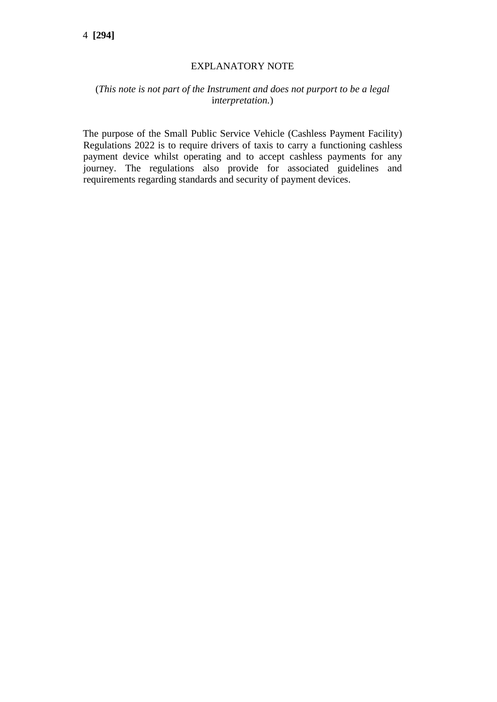# EXPLANATORY NOTE

# (*This note is not part of the Instrument and does not purport to be a legal* i*nterpretation.*)

The purpose of the Small Public Service Vehicle (Cashless Payment Facility) Regulations 2022 is to require drivers of taxis to carry a functioning cashless payment device whilst operating and to accept cashless payments for any journey. The regulations also provide for associated guidelines and requirements regarding standards and security of payment devices.